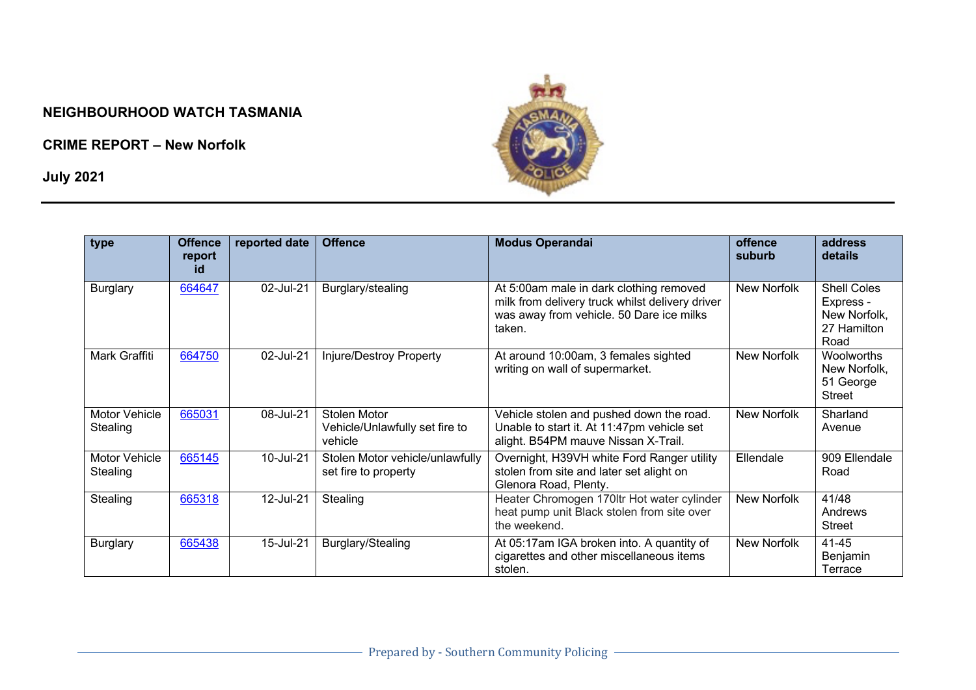## **NEIGHBOURHOOD WATCH TASMANIA**

**CRIME REPORT – New Norfolk**

**July 2021**



| type                      | <b>Offence</b><br>report<br>id | reported date | <b>Offence</b>                                            | <b>Modus Operandai</b>                                                                                                                           | offence<br>suburb | address<br>details                                                     |
|---------------------------|--------------------------------|---------------|-----------------------------------------------------------|--------------------------------------------------------------------------------------------------------------------------------------------------|-------------------|------------------------------------------------------------------------|
| <b>Burglary</b>           | 664647                         | 02-Jul-21     | Burglary/stealing                                         | At 5:00am male in dark clothing removed<br>milk from delivery truck whilst delivery driver<br>was away from vehicle. 50 Dare ice milks<br>taken. | New Norfolk       | <b>Shell Coles</b><br>Express -<br>New Norfolk,<br>27 Hamilton<br>Road |
| Mark Graffiti             | 664750                         | 02-Jul-21     | Injure/Destroy Property                                   | At around 10:00am, 3 females sighted<br>writing on wall of supermarket.                                                                          | New Norfolk       | Woolworths<br>New Norfolk,<br>51 George<br><b>Street</b>               |
| Motor Vehicle<br>Stealing | 665031                         | 08-Jul-21     | Stolen Motor<br>Vehicle/Unlawfully set fire to<br>vehicle | Vehicle stolen and pushed down the road.<br>Unable to start it. At 11:47pm vehicle set<br>alight. B54PM mauve Nissan X-Trail.                    | New Norfolk       | Sharland<br>Avenue                                                     |
| Motor Vehicle<br>Stealing | 665145                         | 10-Jul-21     | Stolen Motor vehicle/unlawfully<br>set fire to property   | Overnight, H39VH white Ford Ranger utility<br>stolen from site and later set alight on<br>Glenora Road, Plenty.                                  | Ellendale         | 909 Ellendale<br>Road                                                  |
| Stealing                  | 665318                         | 12-Jul-21     | Stealing                                                  | Heater Chromogen 170ltr Hot water cylinder<br>heat pump unit Black stolen from site over<br>the weekend.                                         | New Norfolk       | 41/48<br>Andrews<br><b>Street</b>                                      |
| <b>Burglary</b>           | 665438                         | 15-Jul-21     | Burglary/Stealing                                         | At 05:17am IGA broken into. A quantity of<br>cigarettes and other miscellaneous items<br>stolen.                                                 | New Norfolk       | 41-45<br>Benjamin<br>Terrace                                           |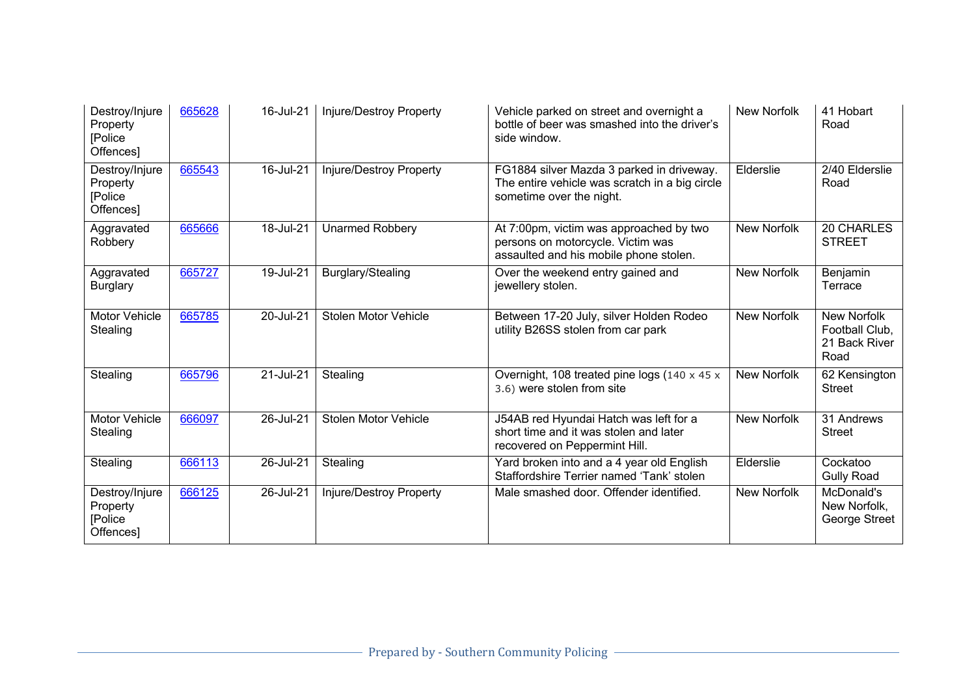| Destroy/Injure<br>Property<br>[Police<br>Offences] | 665628 | 16-Jul-21 | Injure/Destroy Property        | Vehicle parked on street and overnight a<br>bottle of beer was smashed into the driver's<br>side window.                | New Norfolk | 41 Hobart<br>Road                                             |
|----------------------------------------------------|--------|-----------|--------------------------------|-------------------------------------------------------------------------------------------------------------------------|-------------|---------------------------------------------------------------|
| Destroy/Injure<br>Property<br>[Police<br>Offences] | 665543 | 16-Jul-21 | <b>Injure/Destroy Property</b> | FG1884 silver Mazda 3 parked in driveway.<br>The entire vehicle was scratch in a big circle<br>sometime over the night. | Elderslie   | 2/40 Elderslie<br>Road                                        |
| Aggravated<br>Robbery                              | 665666 | 18-Jul-21 | <b>Unarmed Robbery</b>         | At 7:00pm, victim was approached by two<br>persons on motorcycle. Victim was<br>assaulted and his mobile phone stolen.  | New Norfolk | 20 CHARLES<br><b>STREET</b>                                   |
| Aggravated<br><b>Burglary</b>                      | 665727 | 19-Jul-21 | Burglary/Stealing              | Over the weekend entry gained and<br>jewellery stolen.                                                                  | New Norfolk | Benjamin<br>Terrace                                           |
| Motor Vehicle<br>Stealing                          | 665785 | 20-Jul-21 | <b>Stolen Motor Vehicle</b>    | Between 17-20 July, silver Holden Rodeo<br>utility B26SS stolen from car park                                           | New Norfolk | <b>New Norfolk</b><br>Football Club,<br>21 Back River<br>Road |
| Stealing                                           | 665796 | 21-Jul-21 | Stealing                       | Overnight, 108 treated pine logs (140 x 45 x<br>3.6) were stolen from site                                              | New Norfolk | 62 Kensington<br><b>Street</b>                                |
| Motor Vehicle<br>Stealing                          | 666097 | 26-Jul-21 | <b>Stolen Motor Vehicle</b>    | J54AB red Hyundai Hatch was left for a<br>short time and it was stolen and later<br>recovered on Peppermint Hill.       | New Norfolk | 31 Andrews<br><b>Street</b>                                   |
| Stealing                                           | 666113 | 26-Jul-21 | Stealing                       | Yard broken into and a 4 year old English<br>Staffordshire Terrier named 'Tank' stolen                                  | Elderslie   | Cockatoo<br><b>Gully Road</b>                                 |
| Destroy/Injure<br>Property<br>[Police<br>Offences] | 666125 | 26-Jul-21 | Injure/Destroy Property        | Male smashed door. Offender identified.                                                                                 | New Norfolk | McDonald's<br>New Norfolk,<br>George Street                   |